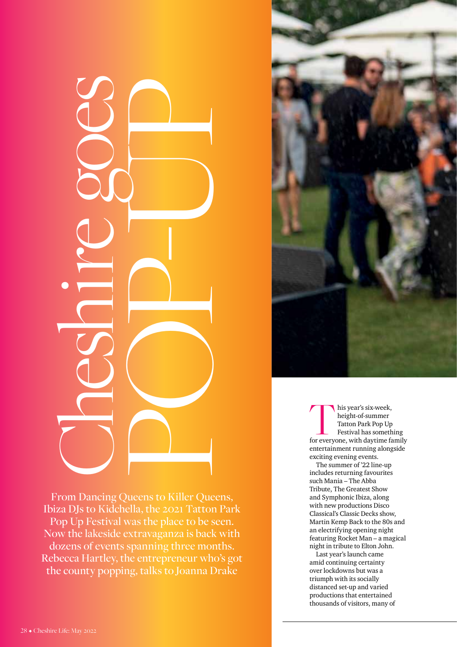

This year's six-week,<br>
height-of-summer<br>
Tatton Park Pop Up<br>
Festival has something<br>
for everyone, with daytime family height-of-summer Tatton Park Pop Up Festival has something entertainment running alongside exciting evening events.

The summer of '22 line-up includes returning favourites such Mania – The Abba Tribute, The Greatest Show and Symphonic Ibiza, along with new productions Disco Classical's Classic Decks show, Martin Kemp Back to the 80s and an electrifying opening night featuring Rocket Man – a magical night in tribute to Elton John.

Last year's launch came amid continuing certainty over lockdowns but was a triumph with its socially distanced set-up and varied productions that entertained thousands of visitors, many of

From Dancing Queens to Killer Queens, Ibiza DJs to Kidchella, the 2021 Tatton Park Pop Up Festival was the place to be seen. Now the lakeside extravaganza is back with dozens of events spanning three months. Rebecca Hartley, the entrepreneur who's got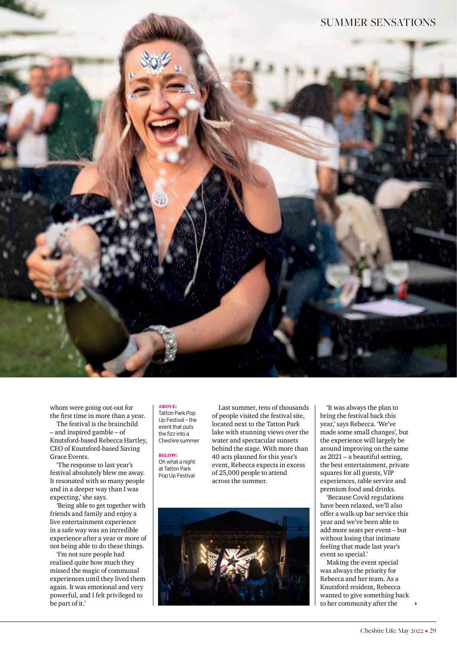

whom were going out-out for the first time in more than a year.

The festival is the brainchild – and inspired gamble – of Knutsford-based Rebecca Hartley, CEO of Knutsford-based Saving Grace Events.

'The response to last year's festival absolutely blew me away. It resonated with so many people and in a deeper way than I was expecting,' she says.

'Being able to get together with friends and family and enjoy a live entertainment experience in a safe way was an incredible experience after a year or more of not being able to do these things.

'I'm not sure people had realised quite how much they missed the magic of communal experiences until they lived them again. It was emotional and very powerful, and I felt privileged to be part of it.'

# ABOVE:

Tatton Park Pop Up Festival – the event that puts the fizz into a Cheshire summer

#### BELOW:

Oh what a night at Tatton Park Pop Up Festival

Last summer, tens of thousands of people visited the festival site, located next to the Tatton Park lake with stunning views over the water and spectacular sunsets behind the stage. With more than 40 acts planned for this year's event, Rebecca expects in excess of 25,000 people to attend across the summer.



'It was always the plan to bring the festival back this year,' says Rebecca. 'We've made some small changes', but the experience will largely be around improving on the same as 2021 – a beautiful setting, the best entertainment, private squares for all guests, VIP experiences, table service and premium food and drinks.

'Because Covid regulations have been relaxed, we'll also offer a walk-up bar service this year and we've been able to add more seats per event – but without losing that intimate feeling that made last year's event so special.'

Making the event special was always the priority for Rebecca and her team. As a Knutsford resident, Rebecca wanted to give something back to her community after the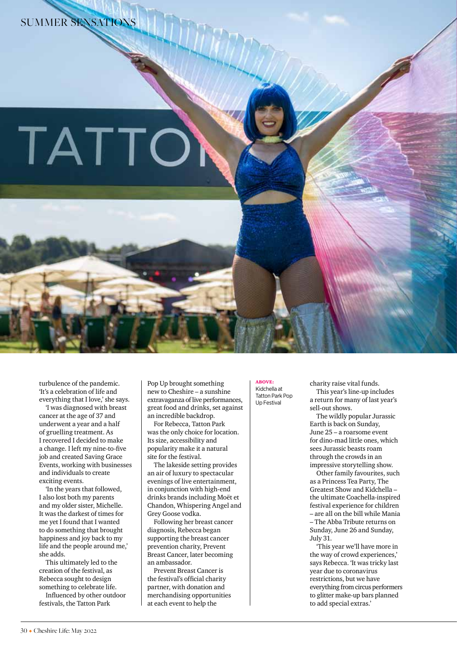# TATTO

turbulence of the pandemic. 'It's a celebration of life and everything that I love,' she says.

'I was diagnosed with breast cancer at the age of 37 and underwent a year and a half of gruelling treatment. As I recovered I decided to make a change. I left my nine-to-five job and created Saving Grace Events, working with businesses and individuals to create exciting events.

'In the years that followed, I also lost both my parents and my older sister, Michelle. It was the darkest of times for me yet I found that I wanted to do something that brought happiness and joy back to my life and the people around me,' she adds.

This ultimately led to the creation of the festival, as Rebecca sought to design something to celebrate life. Influenced by other outdoor

festivals, the Tatton Park

Pop Up brought something new to Cheshire – a sunshine extravaganza of live performances, great food and drinks, set against an incredible backdrop.

For Rebecca, Tatton Park was the only choice for location. Its size, accessibility and popularity make it a natural site for the festival.

The lakeside setting provides an air of luxury to spectacular evenings of live entertainment, in conjunction with high-end drinks brands including Moët et Chandon, Whispering Angel and Grey Goose vodka.

Following her breast cancer diagnosis, Rebecca began supporting the breast cancer prevention charity, Prevent Breast Cancer, later becoming an ambassador.

Prevent Breast Cancer is the festival's official charity partner, with donation and merchandising opportunities at each event to help the

 $ABOVE:$ Kidchella at Tatton Park Pop Up Festival

charity raise vital funds. This year's line-up includes a return for many of last year's sell-out shows.

The wildly popular Jurassic Earth is back on Sunday, June 25 – a roarsome event for dino-mad little ones, which sees Jurassic beasts roam through the crowds in an impressive storytelling show.

Other family favourites, such as a Princess Tea Party, The Greatest Show and Kidchella – the ultimate Coachella-inspired festival experience for children – are all on the bill while Mania – The Abba Tribute returns on Sunday, June 26 and Sunday, July 31.

'This year we'll have more in the way of crowd experiences,' says Rebecca. 'It was tricky last year due to coronavirus restrictions, but we have everything from circus performers to glitter make-up bars planned to add special extras.'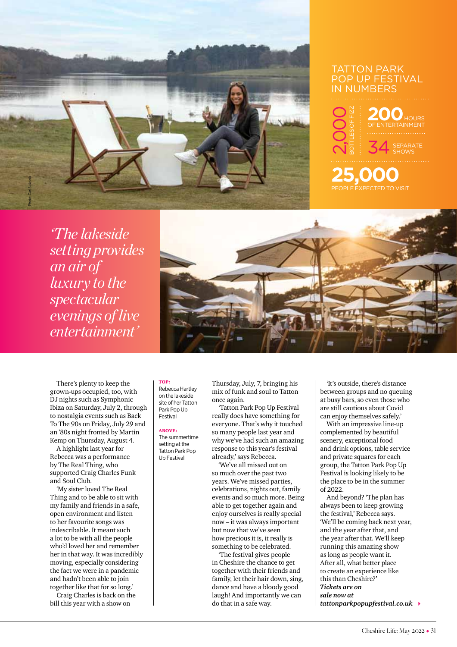

# TATTON PARK Pop Up Festival in numbers



**25,000**

*'The lakeside setting provides an air of luxury to the spectacular evenings of live entertainment'*



There's plenty to keep the grown-ups occupied, too, with DJ nights such as Symphonic Ibiza on Saturday, July 2, through to nostalgia events such as Back To The 90s on Friday, July 29 and an '80s night fronted by Martin Kemp on Thursday, August 4.

A highlight last year for Rebecca was a performance by The Real Thing, who supported Craig Charles Funk and Soul Club.

'My sister loved The Real Thing and to be able to sit with my family and friends in a safe, open environment and listen to her favourite songs was indescribable. It meant such a lot to be with all the people who'd loved her and remember her in that way. It was incredibly moving, especially considering the fact we were in a pandemic and hadn't been able to join together like that for so long.'

Craig Charles is back on the bill this year with a show on

#### top: Rebecca Hartley on the lakeside site of her Tatton Park Pop Up Festival

#### $A$  **BOVE** The summertime setting at the Tatton Park Pop Up Festival

Thursday, July, 7, bringing his mix of funk and soul to Tatton once again.

'Tatton Park Pop Up Festival really does have something for everyone. That's why it touched so many people last year and why we've had such an amazing response to this year's festival already,' says Rebecca.

'We've all missed out on so much over the past two years. We've missed parties, celebrations, nights out, family events and so much more. Being able to get together again and enjoy ourselves is really special now – it was always important but now that we've seen how precious it is, it really is something to be celebrated.

'The festival gives people in Cheshire the chance to get together with their friends and family, let their hair down, sing, dance and have a bloody good laugh! And importantly we can do that in a safe way.

'It's outside, there's distance between groups and no queuing at busy bars, so even those who are still cautious about Covid can enjoy themselves safely.'

With an impressive line-up complemented by beautiful scenery, exceptional food and drink options, table service and private squares for each group, the Tatton Park Pop Up Festival is looking likely to be the place to be in the summer of 2022.

And beyond? 'The plan has always been to keep growing the festival,' Rebecca says. 'We'll be coming back next year, and the year after that, and the year after that. We'll keep running this amazing show as long as people want it. After all, what better place to create an experience like this than Cheshire?' *Tickets are on sale now at tattonparkpopupfestival.co.uk* 4